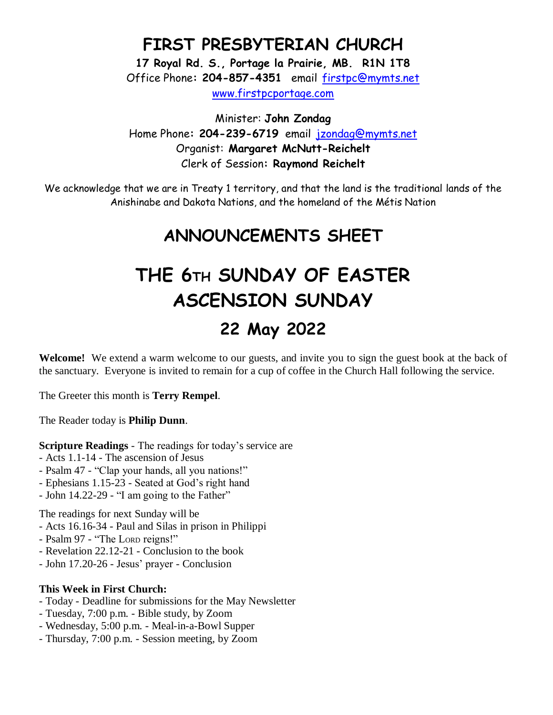### **FIRST PRESBYTERIAN CHURCH**

**17 Royal Rd. S., Portage la Prairie, MB. R1N 1T8** Office Phone**: 204-857-4351** email [firstpc@mymts.net](mailto:firstpc@mymts.net) [www.firstpcportage.com](http://www.firstpcportage.com/)

Minister: **John Zondag** Home Phone**: 204-239-6719** email [jzondag@mymts.net](mailto:jzondag@mymts.net) Organist: **Margaret McNutt-Reichelt** Clerk of Session**: Raymond Reichelt**

We acknowledge that we are in Treaty 1 territory, and that the land is the traditional lands of the Anishinabe and Dakota Nations, and the homeland of the Métis Nation

## **ANNOUNCEMENTS SHEET**

# **THE 6TH SUNDAY OF EASTER ASCENSION SUNDAY 22 May 2022**

**Welcome!** We extend a warm welcome to our guests, and invite you to sign the guest book at the back of the sanctuary. Everyone is invited to remain for a cup of coffee in the Church Hall following the service.

The Greeter this month is **Terry Rempel**.

The Reader today is **Philip Dunn**.

**Scripture Readings** - The readings for today's service are

- Acts 1.1-14 The ascension of Jesus
- Psalm 47 "Clap your hands, all you nations!"
- Ephesians 1.15-23 Seated at God's right hand
- John 14.22-29 "I am going to the Father"

The readings for next Sunday will be

- Acts 16.16-34 Paul and Silas in prison in Philippi
- Psalm 97 "The LORD reigns!"
- Revelation 22.12-21 Conclusion to the book
- John 17.20-26 Jesus' prayer Conclusion

#### **This Week in First Church:**

- Today Deadline for submissions for the May Newsletter
- Tuesday, 7:00 p.m. Bible study, by Zoom
- Wednesday, 5:00 p.m. Meal-in-a-Bowl Supper
- Thursday, 7:00 p.m. Session meeting, by Zoom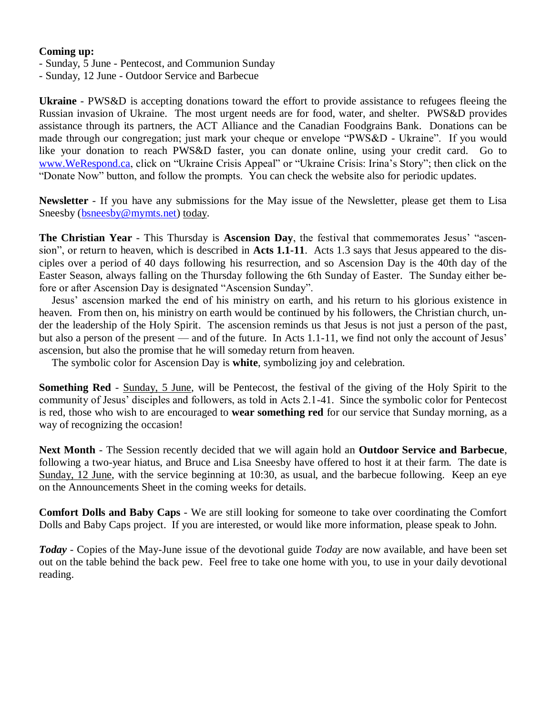#### **Coming up:**

- Sunday, 5 June Pentecost, and Communion Sunday
- Sunday, 12 June Outdoor Service and Barbecue

**Ukraine** - PWS&D is accepting donations toward the effort to provide assistance to refugees fleeing the Russian invasion of Ukraine. The most urgent needs are for food, water, and shelter. PWS&D provides assistance through its partners, the ACT Alliance and the Canadian Foodgrains Bank. Donations can be made through our congregation; just mark your cheque or envelope "PWS&D - Ukraine". If you would like your donation to reach PWS&D faster, you can donate online, using your credit card. Go to [www.WeRespond.ca,](http://www.werespond.ca/) click on "Ukraine Crisis Appeal" or "Ukraine Crisis: Irina's Story"; then click on the "Donate Now" button, and follow the prompts. You can check the website also for periodic updates.

**Newsletter** - If you have any submissions for the May issue of the Newsletter, please get them to Lisa Sneesby [\(bsneesby@mymts.net\)](mailto:bsneesby@mymts.net) today.

**The Christian Year** - This Thursday is **Ascension Day**, the festival that commemorates Jesus' "ascension", or return to heaven, which is described in **Acts 1.1-11**. Acts 1.3 says that Jesus appeared to the disciples over a period of 40 days following his resurrection, and so Ascension Day is the 40th day of the Easter Season, always falling on the Thursday following the 6th Sunday of Easter. The Sunday either before or after Ascension Day is designated "Ascension Sunday".

Jesus' ascension marked the end of his ministry on earth, and his return to his glorious existence in heaven. From then on, his ministry on earth would be continued by his followers, the Christian church, under the leadership of the Holy Spirit. The ascension reminds us that Jesus is not just a person of the past, but also a person of the present — and of the future. In Acts 1.1-11, we find not only the account of Jesus' ascension, but also the promise that he will someday return from heaven.

The symbolic color for Ascension Day is **white**, symbolizing joy and celebration.

**Something Red** - Sunday, 5 June, will be Pentecost, the festival of the giving of the Holy Spirit to the community of Jesus' disciples and followers, as told in Acts 2.1-41. Since the symbolic color for Pentecost is red, those who wish to are encouraged to **wear something red** for our service that Sunday morning, as a way of recognizing the occasion!

**Next Month** - The Session recently decided that we will again hold an **Outdoor Service and Barbecue**, following a two-year hiatus, and Bruce and Lisa Sneesby have offered to host it at their farm. The date is Sunday, 12 June, with the service beginning at 10:30, as usual, and the barbecue following. Keep an eye on the Announcements Sheet in the coming weeks for details.

**Comfort Dolls and Baby Caps** - We are still looking for someone to take over coordinating the Comfort Dolls and Baby Caps project. If you are interested, or would like more information, please speak to John.

*Today* - Copies of the May-June issue of the devotional guide *Today* are now available, and have been set out on the table behind the back pew. Feel free to take one home with you, to use in your daily devotional reading.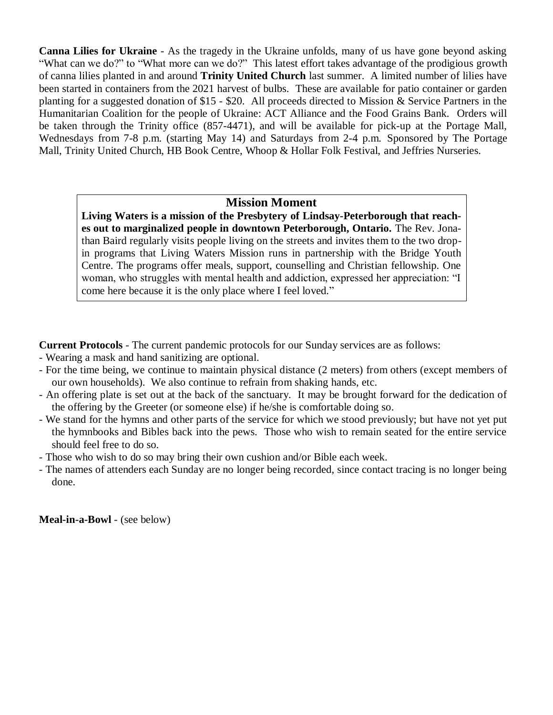**Canna Lilies for Ukraine** - As the tragedy in the Ukraine unfolds, many of us have gone beyond asking "What can we do?" to "What more can we do?" This latest effort takes advantage of the prodigious growth of canna lilies planted in and around **Trinity United Church** last summer. A limited number of lilies have been started in containers from the 2021 harvest of bulbs. These are available for patio container or garden planting for a suggested donation of \$15 - \$20. All proceeds directed to Mission & Service Partners in the Humanitarian Coalition for the people of Ukraine: ACT Alliance and the Food Grains Bank. Orders will be taken through the Trinity office (857-4471), and will be available for pick-up at the Portage Mall, Wednesdays from 7-8 p.m. (starting May 14) and Saturdays from 2-4 p.m. Sponsored by The Portage Mall, Trinity United Church, HB Book Centre, Whoop & Hollar Folk Festival, and Jeffries Nurseries.

#### **Mission Moment**

**Living Waters is a mission of the Presbytery of Lindsay-Peterborough that reaches out to marginalized people in downtown Peterborough, Ontario.** The Rev. Jonathan Baird regularly visits people living on the streets and invites them to the two dropin programs that Living Waters Mission runs in partnership with the Bridge Youth Centre. The programs offer meals, support, counselling and Christian fellowship. One woman, who struggles with mental health and addiction, expressed her appreciation: "I come here because it is the only place where I feel loved."

**Current Protocols** - The current pandemic protocols for our Sunday services are as follows:

- Wearing a mask and hand sanitizing are optional.
- For the time being, we continue to maintain physical distance (2 meters) from others (except members of our own households). We also continue to refrain from shaking hands, etc.
- An offering plate is set out at the back of the sanctuary. It may be brought forward for the dedication of the offering by the Greeter (or someone else) if he/she is comfortable doing so.
- We stand for the hymns and other parts of the service for which we stood previously; but have not yet put the hymnbooks and Bibles back into the pews. Those who wish to remain seated for the entire service should feel free to do so.
- Those who wish to do so may bring their own cushion and/or Bible each week.
- The names of attenders each Sunday are no longer being recorded, since contact tracing is no longer being done.

**Meal-in-a-Bowl** - (see below)